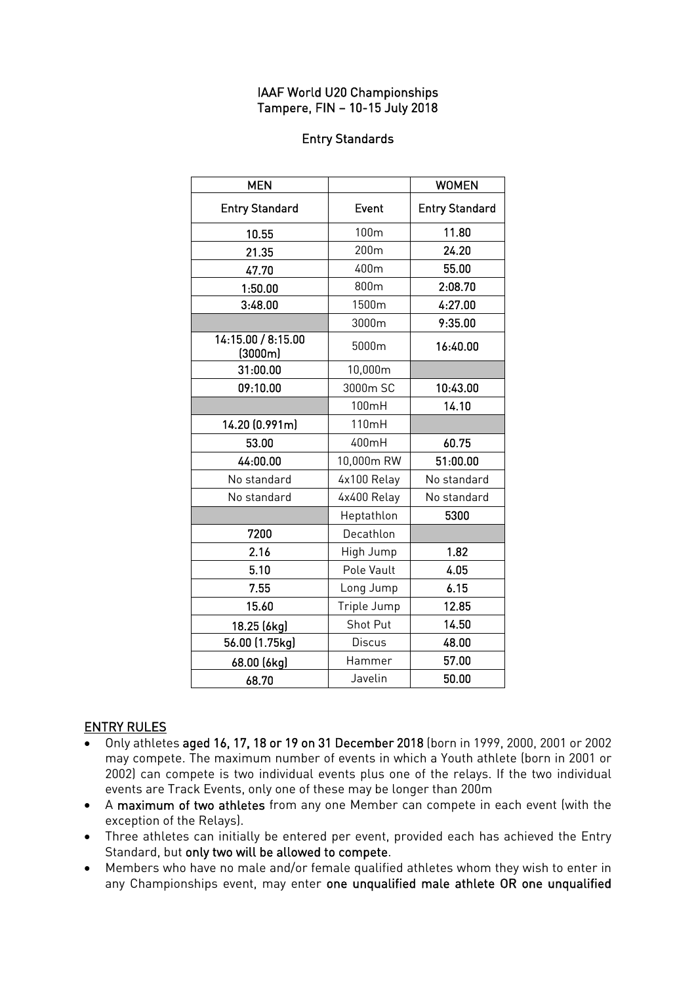## IAAF World U20 Championships Tampere, FIN – 10-15 July 2018

## Entry Standards

| <b>MEN</b>                    |                  | <b>WOMEN</b>          |
|-------------------------------|------------------|-----------------------|
| <b>Entry Standard</b>         | Event            | <b>Entry Standard</b> |
| 10.55                         | 100m             | 11.80                 |
| 21.35                         | 200 <sub>m</sub> | 24.20                 |
| 47.70                         | 400m             | 55.00                 |
| 1:50.00                       | 800m             | 2:08.70               |
| 3:48.00                       | 1500m            | 4:27.00               |
|                               | 3000m            | 9:35.00               |
| 14:15.00 / 8:15.00<br>(3000m) | 5000m            | 16:40.00              |
| 31:00.00                      | 10,000m          |                       |
| 09:10.00                      | 3000m SC         | 10:43.00              |
|                               | 100mH            | 14.10                 |
| 14.20 (0.991m)                | 110mH            |                       |
| 53.00                         | 400mH            | 60.75                 |
| 44:00.00                      | 10,000m RW       | 51:00.00              |
| No standard                   | 4x100 Relay      | No standard           |
| No standard                   | 4x400 Relay      | No standard           |
|                               | Heptathlon       | 5300                  |
| 7200                          | Decathlon        |                       |
| 2.16                          | High Jump        | 1.82                  |
| 5.10                          | Pole Vault       | 4.05                  |
| 7.55                          | Long Jump        | 6.15                  |
| 15.60                         | Triple Jump      | 12.85                 |
| 18.25 (6kg)                   | Shot Put         | 14.50                 |
| 56.00 (1.75kg)                | <b>Discus</b>    | 48.00                 |
| 68.00 (6kg)                   | Hammer           | 57.00                 |
| 68.70                         | Javelin          | 50.00                 |

## ENTRY RULES

- Only athletes aged 16, 17, 18 or 19 on 31 December 2018 (born in 1999, 2000, 2001 or 2002 may compete. The maximum number of events in which a Youth athlete (born in 2001 or 2002) can compete is two individual events plus one of the relays. If the two individual events are Track Events, only one of these may be longer than 200m
- A maximum of two athletes from any one Member can compete in each event (with the exception of the Relays).
- Three athletes can initially be entered per event, provided each has achieved the Entry Standard, but only two will be allowed to compete.
- Members who have no male and/or female qualified athletes whom they wish to enter in any Championships event, may enter one unqualified male athlete OR one unqualified